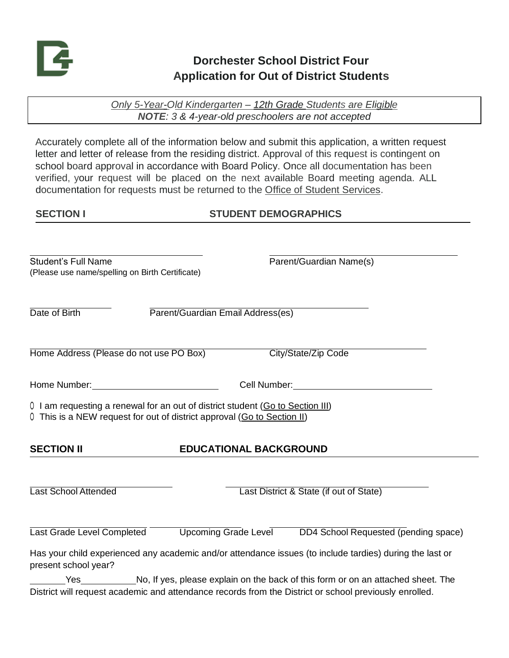

# **Dorchester School District Four Application for Out of District Students**

*Only 5-Year-Old Kindergarten – 12th Grade Students are Eligible NOTE: 3 & 4-year-old preschoolers are not accepted*

Accurately complete all of the information below and submit this application, a written request letter and letter of release from the residing district. Approval of this request is contingent on school board approval in accordance with Board Policy. Once all documentation has been verified, your request will be placed on the next available Board meeting agenda. ALL documentation for requests must be returned to the Office of Student Services.

### **SECTION I STUDENT DEMOGRAPHICS**

| <b>Student's Full Name</b><br>(Please use name/spelling on Birth Certificate) | Parent/Guardian Name(s)                                                                                   |
|-------------------------------------------------------------------------------|-----------------------------------------------------------------------------------------------------------|
| Date of Birth                                                                 | Parent/Guardian Email Address(es)                                                                         |
| Home Address (Please do not use PO Box)                                       | City/State/Zip Code                                                                                       |
|                                                                               | Cell Number: View Management Cell Number:                                                                 |
| 0 This is a NEW request for out of district approval (Go to Section II)       | 0 I am requesting a renewal for an out of district student (Go to Section III)                            |
| <b>SECTION II</b>                                                             | <b>EDUCATIONAL BACKGROUND</b>                                                                             |
| Last School Attended                                                          | Last District & State (if out of State)                                                                   |
|                                                                               | Last Grade Level Completed Upcoming Grade Level DD4 School Requested (pending space)                      |
| present school year?                                                          | Has your child experienced any academic and/or attendance issues (to include tardies) during the last or  |
|                                                                               | Yes _____________________No, If yes, please explain on the back of this form or on an attached sheet. The |

District will request academic and attendance records from the District or school previously enrolled.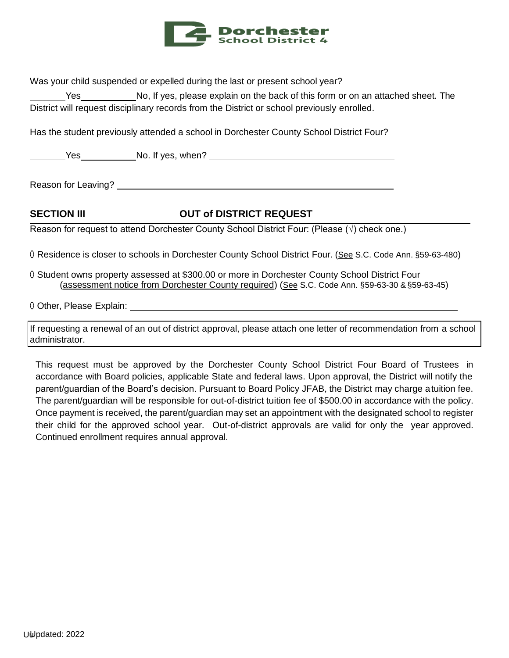

Was your child suspended or expelled during the last or present school year?

Yes \_\_\_\_\_\_\_\_\_No, If yes, please explain on the back of this form or on an attached sheet. The District will request disciplinary records from the District or school previously enrolled.

Has the student previously attended a school in Dorchester County School District Four?

Yes No. If yes, when?

Reason for Leaving?

#### **SECTION III OUT of DISTRICT REQUEST**

Reason for request to attend Dorchester County School District Four: (Please  $(\sqrt)$  check one.)

○ Residence is closer to schools in Dorchester County School District Four. (See S.C. Code Ann. §59-63-480)

○ Student owns property assessed at \$300.00 or more in Dorchester County School District Four (assessment notice from Dorchester County required) (See S.C. Code Ann. §59-63-30 &§59-63-45)

0 Other, Please Explain: 0 Other, Please Explain:

If requesting a renewal of an out of district approval, please attach one letter of recommendation from a school administrator.

This request must be approved by the Dorchester County School District Four Board of Trustees in accordance with Board policies, applicable State and federal laws. Upon approval, the District will notify the parent/guardian of the Board's decision. Pursuant to Board Policy JFAB, the District may charge a tuition fee. The parent/guardian will be responsible for out-of-district tuition fee of \$500.00 in accordance with the policy. Once payment is received, the parent/guardian may set an appointment with the designated school to register their child for the approved school year. Out-of-district approvals are valid for only the year approved. Continued enrollment requires annual approval.